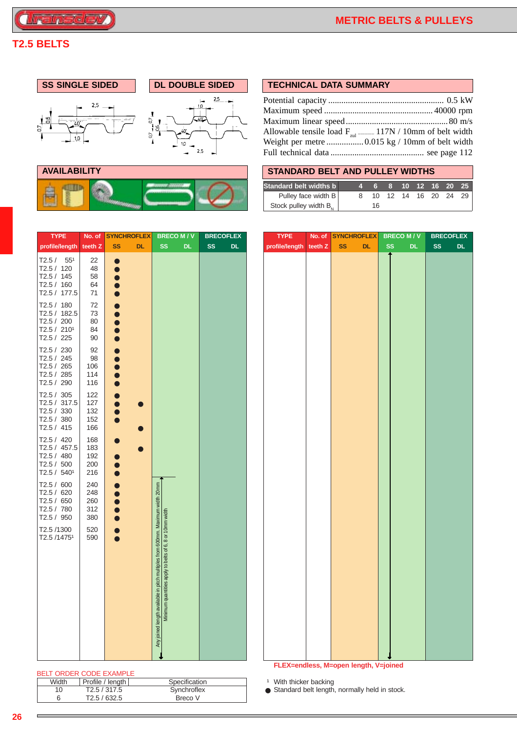# **T2.5 BELTS**

*<u><b>Transdev</u>* 

**AVAILABILITY** 

體

畠

Q



|--|

| Allowable tensile load $F_{m1}$ 117N / 10mm of belt width |  |
|-----------------------------------------------------------|--|
|                                                           |  |
|                                                           |  |

| <b>STANDARD BELT AND PULLEY WIDTHS</b> |                             |  |  |  |
|----------------------------------------|-----------------------------|--|--|--|
| <b>Standard belt widths b</b>          | 4  6  8  10  12  16  20  25 |  |  |  |
| Pulley face width B                    | 8 10 12 14 16 20 24 29      |  |  |  |
| Stock pulley width B,                  | 16                          |  |  |  |

| <b>TYPE</b>                                                                       | No. of                          | <b>SYNCHROFLEX</b>           | <b>BRECOM/V</b>                                                                                                              | <b>BRECOFLEX</b> | <b>TYPE</b>                       | No. of | <b>SYNCHROFLEX</b>                            | <b>BRECOM/V</b>  | <b>BRECOFLEX</b> |
|-----------------------------------------------------------------------------------|---------------------------------|------------------------------|------------------------------------------------------------------------------------------------------------------------------|------------------|-----------------------------------|--------|-----------------------------------------------|------------------|------------------|
| profile/length                                                                    | teeth Z                         | <b>SS</b><br><b>DL</b>       | <b>SS</b><br>DL.                                                                                                             | <b>SS</b><br>DL. | profile/length teeth Z            |        | <b>SS</b><br><b>DL</b>                        | <b>SS</b><br>DL. | <b>SS</b><br>DL. |
| T2.5 / 55 <sup>1</sup><br>T2.5 / 120<br>T2.5 / 145<br>T2.5 / 160<br>T2.5 / 177.5  | 22<br>48<br>58<br>64<br>71      | $\bullet$                    |                                                                                                                              |                  |                                   |        |                                               |                  |                  |
| T2.5 / 180<br>T2.5 / 182.5<br>T2.5 / 200<br>T2.5 / 2101<br>T2.5 / 225             | 72<br>73<br>80<br>84<br>90      |                              |                                                                                                                              |                  |                                   |        |                                               |                  |                  |
| T2.5 / 230<br>T2.5 / 245<br>T2.5 / 265<br>T2.5 / 285<br>T2.5 / 290                | 92<br>98<br>106<br>114<br>116   |                              |                                                                                                                              |                  |                                   |        |                                               |                  |                  |
| T2.5 / 305<br>T2.5 / 317.5<br>T2.5 / 330<br>T2.5 / 380<br>T2.5 / 415              | 122<br>127<br>132<br>152<br>166 | $\bullet$<br>$\bullet$       |                                                                                                                              |                  |                                   |        |                                               |                  |                  |
| T2.5 / 420<br>T2.5 / 457.5<br>T2.5 / 480<br>T2.5 / 500<br>T2.5 / 540 <sup>1</sup> | 168<br>183<br>192<br>200<br>216 |                              |                                                                                                                              |                  |                                   |        |                                               |                  |                  |
| T2.5 / 600<br>T2.5 / 620<br>T2.5 / 650<br>T2.5 / 780<br>T2.5 / 950                | 240<br>248<br>260<br>312<br>380 |                              |                                                                                                                              |                  |                                   |        |                                               |                  |                  |
| T2.5 /1300<br>T2.5 /1475 <sup>1</sup>                                             | 520<br>590                      |                              | ingth available in pitch multiples from 600mm. Maximum width 20mm<br>Minimum quantities apply to belts of 6, 8 or 10mm width |                  |                                   |        |                                               |                  |                  |
|                                                                                   |                                 |                              | Any joined le                                                                                                                |                  |                                   |        |                                               |                  |                  |
|                                                                                   |                                 |                              |                                                                                                                              |                  |                                   |        |                                               |                  |                  |
|                                                                                   |                                 |                              |                                                                                                                              |                  |                                   |        | FLEX=endless, M=open length, V=joined         |                  |                  |
| BELT ORDER CODE EXAMPLE                                                           |                                 |                              |                                                                                                                              |                  |                                   |        |                                               |                  |                  |
| Width                                                                             |                                 | Profile / length             | Specification                                                                                                                |                  | <sup>1</sup> With thicker backing |        |                                               |                  |                  |
| 10 <sup>1</sup><br>6                                                              |                                 | T2.5 / 317.5<br>T2.5 / 632.5 | Synchroflex<br>Breco V                                                                                                       |                  |                                   |        | Standard belt length, normally held in stock. |                  |                  |

 $\blacksquare$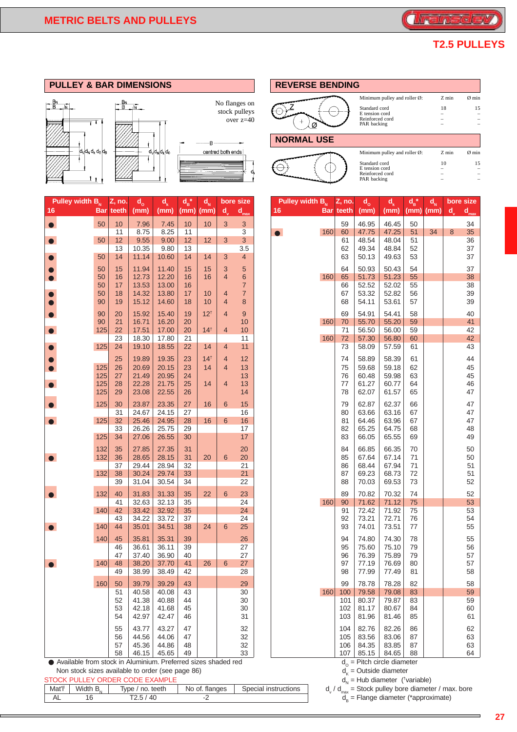

## **T2.5 PULLEYS**

|  |  | <b>PULLEY &amp; BAR DIMENSIONS</b> |  |
|--|--|------------------------------------|--|
|--|--|------------------------------------|--|



| Pulley width $B_{N}$                                         |     | Z, no.    | $d_{o}$        | $d_{\nu}$      | $d_{\rm B}^{\;\;\ast}$ | $d_{N}$         |                | bore size        | Pulley width B <sub>N</sub> |     | Z, no.           | $d_{o}$                            | $\mathbf{d}_{\mathbf{k}}$ | $d_{\rm B}^{\;\star}$ | $d_{N}$ | bore size            |
|--------------------------------------------------------------|-----|-----------|----------------|----------------|------------------------|-----------------|----------------|------------------|-----------------------------|-----|------------------|------------------------------------|---------------------------|-----------------------|---------|----------------------|
| 16                                                           |     | Bar teeth | (mm)           | (mm)           | $(mm)$ (mm)            |                 | $d_{v}$        | $d_{max}$        | 16                          |     | <b>Bar</b> teeth | (mm)                               | (mm)                      | (mm)                  | (mm)    | $d_{v}$<br>$d_{max}$ |
| $\bullet$                                                    | 50  | 10        | 7.96           | 7.45           | 10                     | 10              | 3              | $\mathbf{3}$     |                             |     | 59               | 46.95                              | 46.45                     | 50                    |         | 34                   |
|                                                              |     | 11        | 8.75           | 8.25           | 11                     |                 |                | 3                | $\bullet$                   | 160 | 60               | 47.75                              | 47.25                     | 51                    | 34      | 35<br>8              |
| $\bullet$                                                    | 50  | 12        | 9.55           | 9.00           | 12 <sub>2</sub>        | 12              | 3              | 3                |                             |     | 61               | 48.54                              | 48.04                     | 51                    |         | 36                   |
|                                                              |     | 13        | 10.35          | 9.80           | 13                     |                 |                | 3.5              |                             |     | 62               | 49.34                              | 48.84                     | 52                    |         | 37                   |
|                                                              | 50  | 14        | 11.14          | 10.60          | 14                     | 14              | 3              | $\overline{4}$   |                             |     | 63               | 50.13                              | 49.63                     | 53                    |         | 37                   |
|                                                              | 50  | 15        | 11.94          | 11.40          | 15                     | 15              | 3              | $\sqrt{5}$       |                             |     | 64               | 50.93                              | 50.43                     | 54                    |         | 37                   |
|                                                              | 50  | 16        | 12.73          | 12.20          | 16                     | 16              | $\overline{4}$ | $\boldsymbol{6}$ |                             | 160 | 65               | 51.73                              | 51.23                     | 55                    |         | 38                   |
|                                                              | 50  | 17        | 13.53          | 13.00          | 16                     |                 |                | $\overline{7}$   |                             |     | 66               | 52.52                              | 52.02                     | 55                    |         | 38                   |
|                                                              | 50  | 18        | 14.32          | 13.80          | 17                     | 10              | $\overline{4}$ | $\overline{7}$   |                             |     | 67               | 53.32                              | 52.82                     | 56                    |         | 39                   |
|                                                              | 90  | 19        | 15.12          | 14.60          | 18                     | 10              | $\overline{4}$ | 8                |                             |     | 68               | 54.11                              | 53.61                     | 57                    |         | 39                   |
|                                                              |     |           |                |                |                        |                 |                |                  |                             |     |                  |                                    |                           |                       |         |                      |
|                                                              | 90  | 20        | 15.92          | 15.40          | 19                     | 12 <sup>†</sup> | $\overline{4}$ | 9                |                             |     | 69               | 54.91                              | 54.41                     | 58                    |         | 40                   |
|                                                              | 90  | 21        | 16.71          | 16.20          | 20                     |                 |                | 10               |                             | 160 | 70               | 55.70                              | 55.20                     | 59                    |         | 41                   |
|                                                              | 125 | 22<br>23  | 17.51<br>18.30 | 17.00<br>17.80 | 20<br>21               | $14^{+}$        | $\overline{4}$ | 10<br>11         |                             | 160 | 71<br>72         | 56.50<br>57.30                     | 56.00<br>56.80            | 59<br>60              |         | 42<br>42             |
|                                                              | 125 | 24        | 19.10          | 18.55          | 22                     | 14              | $\overline{4}$ | 11               |                             |     | 73               | 58.09                              | 57.59                     | 61                    |         | 43                   |
|                                                              |     |           |                |                |                        |                 |                |                  |                             |     |                  |                                    |                           |                       |         |                      |
|                                                              |     | 25        | 19.89          | 19.35          | 23                     | $14^{+}$        | $\overline{4}$ | 12               |                             |     | 74               | 58.89                              | 58.39                     | 61                    |         | 44                   |
|                                                              | 125 | 26        | 20.69          | 20.15          | 23                     | 14              | $\overline{4}$ | 13               |                             |     | 75               | 59.68                              | 59.18                     | 62                    |         | 45                   |
|                                                              | 125 | 27        | 21.49          | 20.95          | 24                     |                 |                | 13               |                             |     | 76               | 60.48                              | 59.98                     | 63                    |         | 45                   |
| $\bullet$                                                    | 125 | 28        | 22.28          | 21.75          | 25                     | 14              | $\overline{4}$ | 13               |                             |     | $77$             | 61.27                              | 60.77                     | 64                    |         | 46                   |
|                                                              | 125 | 29        | 23.08          | 22.55          | 26                     |                 |                | 14               |                             |     | 78               | 62.07                              | 61.57                     | 65                    |         | 47                   |
| $\bullet$                                                    | 125 | 30        | 23.87          | 23.35          | 27                     | 16              | 6              | 15               |                             |     | 79               | 62.87                              | 62.37                     | 66                    |         | 47                   |
|                                                              |     | 31        | 24.67          | 24.15          | 27                     |                 |                | 16               |                             |     | 80               | 63.66                              | 63.16                     | 67                    |         | 47                   |
| $\bullet$                                                    | 125 | 32        | 25.46          | 24.95          | 28                     | 16              | 6              | 16               |                             |     | 81               | 64.46                              | 63.96                     | 67                    |         | 47                   |
|                                                              |     | 33        | 26.26          | 25.75          | 29                     |                 |                | 17               |                             |     | 82               | 65.25                              | 64.75                     | 68                    |         | 48                   |
|                                                              | 125 | 34        | 27.06          | 26.55          | 30                     |                 |                | 17               |                             |     | 83               | 66.05                              | 65.55                     | 69                    |         | 49                   |
|                                                              |     |           |                |                |                        |                 |                |                  |                             |     |                  |                                    |                           |                       |         |                      |
|                                                              | 132 | 35        | 27.85          | 27.35          | 31                     |                 |                | 20               |                             |     | 84               | 66.85                              | 66.35                     | 70                    |         | 50                   |
|                                                              | 132 | 36<br>37  | 28.65<br>29.44 | 28.15<br>28.94 | 31<br>32               | 20              | 6              | 20<br>21         |                             |     | 85<br>86         | 67.64<br>68.44                     | 67.14<br>67.94            | 71<br>71              |         | 50<br>51             |
|                                                              | 132 | 38        | 30.24          | 29.74          | 33                     |                 |                | 21               |                             |     | 87               | 69.23                              | 68.73                     | 72                    |         | 51                   |
|                                                              |     | 39        | 31.04          | 30.54          | 34                     |                 |                | 22               |                             |     | 88               | 70.03                              | 69.53                     | 73                    |         | 52                   |
|                                                              |     |           |                |                |                        |                 |                |                  |                             |     |                  |                                    |                           |                       |         |                      |
|                                                              | 132 | 40        | 31.83          | 31.33          | 35                     | 22              | 6              | 23               |                             |     | 89               | 70.82                              | 70.32                     | 74                    |         | 52                   |
|                                                              |     | 41        | 32.63          | 32.13          | 35                     |                 |                | 24               |                             | 160 | 90               | 71.62                              | 71.12                     | 75                    |         | 53                   |
|                                                              | 140 | 42        | 33.42          | 32.92          | 35                     |                 |                | 24               |                             |     | 91               | 72.42                              | 71.92                     | 75                    |         | 53                   |
|                                                              |     | 43        | 34.22          | 33.72          | 37                     |                 |                | 24               |                             |     | 92               | 73.21                              | 72.71                     | 76                    |         | 54                   |
|                                                              | 140 | 44        | 35.01          | 34.51          | 38                     | 24              | 6              | 25               |                             |     | 93               | 74.01                              | 73.51                     | 77                    |         | 55                   |
|                                                              | 140 | 45        | 35.81          | 35.31          | 39                     |                 |                | 26               |                             |     | 94               | 74.80                              | 74.30                     | 78                    |         | 55                   |
|                                                              |     | 46        | 36.61          | 36.11          | 39                     |                 |                | 27               |                             |     | 95               | 75.60                              | 75.10                     | 79                    |         | 56                   |
|                                                              |     | 47        | 37.40          | 36.90          | 40                     |                 |                | 27               |                             |     | 96               | 76.39                              | 75.89                     | 79                    |         | 57                   |
|                                                              | 140 | 48        | 38.20          | 37.70          | 41                     | 26              | 6              | 27               |                             |     | 97               | 77.19                              | 76.69                     | 80                    |         | 57                   |
|                                                              |     | 49        | 38.99          | 38.49          | 42                     |                 |                | 28               |                             |     | 98               | 77.99                              | 77.49                     | 81                    |         | 58                   |
|                                                              | 160 | 50        | 39.79          | 39.29          | 43                     |                 |                | 29               |                             |     | 99               | 78.78                              | 78.28                     | 82                    |         | 58                   |
|                                                              |     | 51        | 40.58          | 40.08          | 43                     |                 |                | 30               |                             | 160 | 100              | 79.58                              | 79.08                     | 83                    |         | 59                   |
|                                                              |     | 52        | 41.38          | 40.88          | 44                     |                 |                | 30               |                             |     | 101              | 80.37                              | 79.87                     | 83                    |         | 59                   |
|                                                              |     | 53        | 42.18          | 41.68          | 45                     |                 |                | 30               |                             |     | 102              | 81.17                              | 80.67                     | 84                    |         | 60                   |
|                                                              |     | 54        | 42.97          | 42.47          | 46                     |                 |                | 31               |                             |     | 103              | 81.96                              | 81.46                     | 85                    |         | 61                   |
|                                                              |     |           |                |                |                        |                 |                |                  |                             |     |                  |                                    |                           |                       |         |                      |
|                                                              |     | 55        | 43.77          | 43.27          | 47                     |                 |                | 32               |                             |     | 104              | 82.76                              | 82.26                     | 86                    |         | 62                   |
|                                                              |     | 56        | 44.56          | 44.06          | 47                     |                 |                | 32               |                             |     | 105              | 83.56                              | 83.06                     | 87                    |         | 63                   |
|                                                              |     | 57        | 45.36          | 44.86          | 48                     |                 |                | 32               |                             |     | 106              | 84.35                              | 83.85                     | 87                    |         | 63                   |
| Available from stock in Aluminium Preferred sizes shaded red |     | 58        | 46.15          | 45.65          | 49                     |                 |                | 33               |                             |     | $107 \mid$       | 85.15<br>d - Pitch circle diameter | 84.65                     | 88                    |         | 64                   |

Non stock sizes available to order (see page 86) STOCK PULLEY ORDER CODE EXAMPLE

|          |          | JIUUILI ULLEI UNDEN UUDE EAAWIEE |                                    | $u_{N}$ – Frap diamond (variable)                      |
|----------|----------|----------------------------------|------------------------------------|--------------------------------------------------------|
| Mat'l' i | Width B. | Type / no. teeth                 | No of flanges Special instructions | $d_y/d_{max}$ = Stock pulley bore diameter / max. bore |
|          |          | Г2.5 / 40                        |                                    | $d_{\circ}$ = Flange diameter (*approximate)           |

| <b>REVERSE BENDING</b> |                                                                                                              |               |             |
|------------------------|--------------------------------------------------------------------------------------------------------------|---------------|-------------|
|                        | Minimum pulley and roller $\emptyset$ :<br>Standard cord<br>E tension cord<br>Reinforced cord<br>PAR backing | $Z$ min<br>18 | Ø min<br>15 |
| <b>NORMAL USE</b>      |                                                                                                              |               |             |
|                        | Minimum pulley and roller $\emptyset$ :                                                                      | $Z$ min       | Ø min       |
|                        | Standard cord<br>E tension cord<br>Reinforced cord                                                           | 10            | 15          |
|                        | PAR backing                                                                                                  |               |             |

| 16<br><b>Bar</b> teeth<br>Bar teeth<br>$d_{\text{max}}$<br>(mm)<br>(mm)<br>(mm) (mm)<br>$d_{v}$<br>(mm)<br>(mm)<br>(mm)<br>(mm)<br>$\sqrt{3}$<br>46.45<br>10<br>7.96<br>7.45<br>10<br>10<br>3<br>59<br>46.95<br>50<br>50<br>160<br>47.25<br>11<br>8.75<br>8.25<br>11<br>3<br>60<br>47.75<br>51<br>34<br>$\bullet$<br>9.55<br>9.00<br>12<br>12<br>$\mathbf{3}$<br>48.04<br>51<br>50<br>12<br>3<br>61<br>48.54<br>3.5<br>62<br>49.34<br>48.84<br>52<br>13<br>10.35<br>9.80<br>13<br>11.14<br>$\overline{4}$<br>50.13<br>49.63<br>14<br>10.60<br>14<br>14<br>3<br>63<br>53<br>50<br>15<br>11.94<br>11.40<br>15<br>3<br>$\overline{5}$<br>64<br>50.93<br>50.43<br>54<br>50<br>15<br>12.73<br>12.20<br>16<br>4<br>6<br>160<br>51.23<br>55<br>50<br>16<br>16<br>65<br>51.73<br>13.53<br>13.00<br>$\overline{7}$<br>17<br>16<br>52.52<br>52.02<br>55<br>50<br>66<br>$\overline{7}$<br>14.32<br>13.80<br>53.32<br>52.82<br>50<br>18<br>17<br>10<br>4<br>67<br>56<br>14.60<br>53.61<br>57<br>90<br>19<br>15.12<br>18<br>10<br>4<br>8<br>68<br>54.11<br>15.40<br>12 <sup>†</sup><br>$\boldsymbol{9}$<br>54.41<br>15.92<br>19<br>$\overline{4}$<br>69<br>54.91<br>58<br>90<br>20<br>16.71<br>16.20<br>160<br>55.70<br>55.20<br>90<br>21<br>20<br>10<br>70<br>59<br>22<br>17.51<br>17.00<br>$14^{+}$<br>10<br>71<br>56.50<br>56.00<br>59<br>125<br>20<br>$\overline{4}$<br>160<br>23<br>17.80<br>11<br>72<br>57.30<br>56.80<br>60<br>18.30<br>21<br>73<br>125<br>24<br>19.10<br>18.55<br>22<br>14<br>11<br>58.09<br>57.59<br>4<br>61<br>19.89<br>19.35<br>$14^{+}$<br>74<br>58.89<br>58.39<br>25<br>23<br>4<br>12<br>61<br>20.69<br>20.15<br>23<br>13<br>75<br>59.68<br>59.18<br>62<br>125<br>26<br>14<br>4<br>20.95<br>125<br>27<br>21.49<br>24<br>13<br>76<br>60.48<br>59.98<br>63<br>22.28<br>21.75<br>61.27<br>60.77<br>125<br>28<br>25<br>14<br>4<br>13<br>77<br>64<br>22.55<br>62.07<br>125<br>29<br>23.08<br>26<br>14<br>78<br>61.57<br>65<br>30<br>23.87<br>23.35<br>27<br>15<br>79<br>62.87<br>62.37<br>66<br>125<br>16<br>6<br>31<br>24.67<br>24.15<br>27<br>63.66<br>63.16<br>67<br>16<br>80<br>125<br>32<br>24.95<br>63.96<br>25.46<br>28<br>16<br>6<br>16<br>81<br>64.46<br>67<br>33<br>26.26<br>25.75<br>17<br>82<br>65.25<br>29<br>64.75<br>68<br>34<br>27.06<br>26.55<br>17<br>83<br>65.55<br>69<br>125<br>30<br>66.05<br>27.85<br>27.35<br>66.35<br>132<br>35<br>31<br>20<br>84<br>66.85<br>70<br>28.15<br>67.64<br>67.14<br>132<br>28.65<br>20<br>6<br>20<br>85<br>71<br>36<br>31<br>28.94<br>21<br>68.44<br>67.94<br>37<br>29.44<br>32<br>86<br>71<br>132<br>38<br>30.24<br>29.74<br>21<br>87<br>69.23<br>68.73<br>33<br>72<br>39<br>22<br>88<br>70.03<br>69.53<br>73<br>31.04<br>30.54<br>34<br>31.83<br>31.33<br>35<br>23<br>89<br>70.82<br>70.32<br>74<br>132<br>40<br>22<br>6<br>160<br>71.12<br>75<br>41<br>32.63<br>32.13<br>35<br>24<br>90<br>71.62<br>32.92<br>140<br>42<br>33.42<br>35<br>24<br>91<br>72.42<br>71.92<br>75<br>73.21<br>43<br>34.22<br>33.72<br>37<br>24<br>92<br>72.71<br>76<br>140<br>25<br>44<br>35.01<br>34.51<br>38<br>24<br>93<br>74.01<br>73.51<br>77<br>6<br>35.31<br>140<br>45<br>35.81<br>39<br>26<br>94<br>74.80<br>74.30<br>78<br>36.11<br>27<br>95<br>75.10<br>79<br>46<br>36.61<br>39<br>75.60<br>27<br>75.89<br>47<br>37.40<br>36.90<br>40<br>96<br>76.39<br>79<br>38.20<br>37.70<br>27<br>76.69<br>140<br>48<br>41<br>26<br>6<br>97<br>77.19<br>80<br>28<br>77.99<br>77.49<br>49<br>38.99<br>38.49<br>42<br>98<br>81 | bore size            | $\mathbf{d}_{\mathbf{N}}$ | $d_{\rm B}^{\;\;\star}$ | $\mathbf{d}_{\mathbf{k}}$ | $d_{o}$ | Z, no. | Pulley width B <sub>N</sub> | bore size | $d_{N}$ | $d_{\rm B}^{\;\;\star}$ | $\mathbf{d}_{\mathbf{k}}$ | $d_{o}$ | Z, no. | 3<br>N |
|---------------------------------------------------------------------------------------------------------------------------------------------------------------------------------------------------------------------------------------------------------------------------------------------------------------------------------------------------------------------------------------------------------------------------------------------------------------------------------------------------------------------------------------------------------------------------------------------------------------------------------------------------------------------------------------------------------------------------------------------------------------------------------------------------------------------------------------------------------------------------------------------------------------------------------------------------------------------------------------------------------------------------------------------------------------------------------------------------------------------------------------------------------------------------------------------------------------------------------------------------------------------------------------------------------------------------------------------------------------------------------------------------------------------------------------------------------------------------------------------------------------------------------------------------------------------------------------------------------------------------------------------------------------------------------------------------------------------------------------------------------------------------------------------------------------------------------------------------------------------------------------------------------------------------------------------------------------------------------------------------------------------------------------------------------------------------------------------------------------------------------------------------------------------------------------------------------------------------------------------------------------------------------------------------------------------------------------------------------------------------------------------------------------------------------------------------------------------------------------------------------------------------------------------------------------------------------------------------------------------------------------------------------------------------------------------------------------------------------------------------------------------------------------------------------------------------------------------------------------------------------------------------------------------------------------------------------------------------------------------------------------------------------------------------------------------------------------------------------------------------------------------------------------------------------------------------------------------------------------------------------------------------------------------------------------------------------------------------------------------------------------------------------------------------------------------------------------------|----------------------|---------------------------|-------------------------|---------------------------|---------|--------|-----------------------------|-----------|---------|-------------------------|---------------------------|---------|--------|--------|
|                                                                                                                                                                                                                                                                                                                                                                                                                                                                                                                                                                                                                                                                                                                                                                                                                                                                                                                                                                                                                                                                                                                                                                                                                                                                                                                                                                                                                                                                                                                                                                                                                                                                                                                                                                                                                                                                                                                                                                                                                                                                                                                                                                                                                                                                                                                                                                                                                                                                                                                                                                                                                                                                                                                                                                                                                                                                                                                                                                                                                                                                                                                                                                                                                                                                                                                                                                                                                                                                     | $d_{v}$<br>$d_{max}$ |                           |                         |                           |         |        |                             |           |         |                         |                           |         |        |        |
|                                                                                                                                                                                                                                                                                                                                                                                                                                                                                                                                                                                                                                                                                                                                                                                                                                                                                                                                                                                                                                                                                                                                                                                                                                                                                                                                                                                                                                                                                                                                                                                                                                                                                                                                                                                                                                                                                                                                                                                                                                                                                                                                                                                                                                                                                                                                                                                                                                                                                                                                                                                                                                                                                                                                                                                                                                                                                                                                                                                                                                                                                                                                                                                                                                                                                                                                                                                                                                                                     | 34                   |                           |                         |                           |         |        |                             |           |         |                         |                           |         |        |        |
|                                                                                                                                                                                                                                                                                                                                                                                                                                                                                                                                                                                                                                                                                                                                                                                                                                                                                                                                                                                                                                                                                                                                                                                                                                                                                                                                                                                                                                                                                                                                                                                                                                                                                                                                                                                                                                                                                                                                                                                                                                                                                                                                                                                                                                                                                                                                                                                                                                                                                                                                                                                                                                                                                                                                                                                                                                                                                                                                                                                                                                                                                                                                                                                                                                                                                                                                                                                                                                                                     | 35<br>8              |                           |                         |                           |         |        |                             |           |         |                         |                           |         |        |        |
|                                                                                                                                                                                                                                                                                                                                                                                                                                                                                                                                                                                                                                                                                                                                                                                                                                                                                                                                                                                                                                                                                                                                                                                                                                                                                                                                                                                                                                                                                                                                                                                                                                                                                                                                                                                                                                                                                                                                                                                                                                                                                                                                                                                                                                                                                                                                                                                                                                                                                                                                                                                                                                                                                                                                                                                                                                                                                                                                                                                                                                                                                                                                                                                                                                                                                                                                                                                                                                                                     | 36                   |                           |                         |                           |         |        |                             |           |         |                         |                           |         |        |        |
|                                                                                                                                                                                                                                                                                                                                                                                                                                                                                                                                                                                                                                                                                                                                                                                                                                                                                                                                                                                                                                                                                                                                                                                                                                                                                                                                                                                                                                                                                                                                                                                                                                                                                                                                                                                                                                                                                                                                                                                                                                                                                                                                                                                                                                                                                                                                                                                                                                                                                                                                                                                                                                                                                                                                                                                                                                                                                                                                                                                                                                                                                                                                                                                                                                                                                                                                                                                                                                                                     | 37                   |                           |                         |                           |         |        |                             |           |         |                         |                           |         |        |        |
|                                                                                                                                                                                                                                                                                                                                                                                                                                                                                                                                                                                                                                                                                                                                                                                                                                                                                                                                                                                                                                                                                                                                                                                                                                                                                                                                                                                                                                                                                                                                                                                                                                                                                                                                                                                                                                                                                                                                                                                                                                                                                                                                                                                                                                                                                                                                                                                                                                                                                                                                                                                                                                                                                                                                                                                                                                                                                                                                                                                                                                                                                                                                                                                                                                                                                                                                                                                                                                                                     | 37                   |                           |                         |                           |         |        |                             |           |         |                         |                           |         |        |        |
|                                                                                                                                                                                                                                                                                                                                                                                                                                                                                                                                                                                                                                                                                                                                                                                                                                                                                                                                                                                                                                                                                                                                                                                                                                                                                                                                                                                                                                                                                                                                                                                                                                                                                                                                                                                                                                                                                                                                                                                                                                                                                                                                                                                                                                                                                                                                                                                                                                                                                                                                                                                                                                                                                                                                                                                                                                                                                                                                                                                                                                                                                                                                                                                                                                                                                                                                                                                                                                                                     | 37                   |                           |                         |                           |         |        |                             |           |         |                         |                           |         |        |        |
|                                                                                                                                                                                                                                                                                                                                                                                                                                                                                                                                                                                                                                                                                                                                                                                                                                                                                                                                                                                                                                                                                                                                                                                                                                                                                                                                                                                                                                                                                                                                                                                                                                                                                                                                                                                                                                                                                                                                                                                                                                                                                                                                                                                                                                                                                                                                                                                                                                                                                                                                                                                                                                                                                                                                                                                                                                                                                                                                                                                                                                                                                                                                                                                                                                                                                                                                                                                                                                                                     | 38                   |                           |                         |                           |         |        |                             |           |         |                         |                           |         |        |        |
|                                                                                                                                                                                                                                                                                                                                                                                                                                                                                                                                                                                                                                                                                                                                                                                                                                                                                                                                                                                                                                                                                                                                                                                                                                                                                                                                                                                                                                                                                                                                                                                                                                                                                                                                                                                                                                                                                                                                                                                                                                                                                                                                                                                                                                                                                                                                                                                                                                                                                                                                                                                                                                                                                                                                                                                                                                                                                                                                                                                                                                                                                                                                                                                                                                                                                                                                                                                                                                                                     | 38                   |                           |                         |                           |         |        |                             |           |         |                         |                           |         |        |        |
|                                                                                                                                                                                                                                                                                                                                                                                                                                                                                                                                                                                                                                                                                                                                                                                                                                                                                                                                                                                                                                                                                                                                                                                                                                                                                                                                                                                                                                                                                                                                                                                                                                                                                                                                                                                                                                                                                                                                                                                                                                                                                                                                                                                                                                                                                                                                                                                                                                                                                                                                                                                                                                                                                                                                                                                                                                                                                                                                                                                                                                                                                                                                                                                                                                                                                                                                                                                                                                                                     | 39                   |                           |                         |                           |         |        |                             |           |         |                         |                           |         |        |        |
|                                                                                                                                                                                                                                                                                                                                                                                                                                                                                                                                                                                                                                                                                                                                                                                                                                                                                                                                                                                                                                                                                                                                                                                                                                                                                                                                                                                                                                                                                                                                                                                                                                                                                                                                                                                                                                                                                                                                                                                                                                                                                                                                                                                                                                                                                                                                                                                                                                                                                                                                                                                                                                                                                                                                                                                                                                                                                                                                                                                                                                                                                                                                                                                                                                                                                                                                                                                                                                                                     | 39                   |                           |                         |                           |         |        |                             |           |         |                         |                           |         |        |        |
|                                                                                                                                                                                                                                                                                                                                                                                                                                                                                                                                                                                                                                                                                                                                                                                                                                                                                                                                                                                                                                                                                                                                                                                                                                                                                                                                                                                                                                                                                                                                                                                                                                                                                                                                                                                                                                                                                                                                                                                                                                                                                                                                                                                                                                                                                                                                                                                                                                                                                                                                                                                                                                                                                                                                                                                                                                                                                                                                                                                                                                                                                                                                                                                                                                                                                                                                                                                                                                                                     | 40                   |                           |                         |                           |         |        |                             |           |         |                         |                           |         |        |        |
|                                                                                                                                                                                                                                                                                                                                                                                                                                                                                                                                                                                                                                                                                                                                                                                                                                                                                                                                                                                                                                                                                                                                                                                                                                                                                                                                                                                                                                                                                                                                                                                                                                                                                                                                                                                                                                                                                                                                                                                                                                                                                                                                                                                                                                                                                                                                                                                                                                                                                                                                                                                                                                                                                                                                                                                                                                                                                                                                                                                                                                                                                                                                                                                                                                                                                                                                                                                                                                                                     | 41                   |                           |                         |                           |         |        |                             |           |         |                         |                           |         |        |        |
|                                                                                                                                                                                                                                                                                                                                                                                                                                                                                                                                                                                                                                                                                                                                                                                                                                                                                                                                                                                                                                                                                                                                                                                                                                                                                                                                                                                                                                                                                                                                                                                                                                                                                                                                                                                                                                                                                                                                                                                                                                                                                                                                                                                                                                                                                                                                                                                                                                                                                                                                                                                                                                                                                                                                                                                                                                                                                                                                                                                                                                                                                                                                                                                                                                                                                                                                                                                                                                                                     | 42                   |                           |                         |                           |         |        |                             |           |         |                         |                           |         |        |        |
|                                                                                                                                                                                                                                                                                                                                                                                                                                                                                                                                                                                                                                                                                                                                                                                                                                                                                                                                                                                                                                                                                                                                                                                                                                                                                                                                                                                                                                                                                                                                                                                                                                                                                                                                                                                                                                                                                                                                                                                                                                                                                                                                                                                                                                                                                                                                                                                                                                                                                                                                                                                                                                                                                                                                                                                                                                                                                                                                                                                                                                                                                                                                                                                                                                                                                                                                                                                                                                                                     | 42                   |                           |                         |                           |         |        |                             |           |         |                         |                           |         |        |        |
|                                                                                                                                                                                                                                                                                                                                                                                                                                                                                                                                                                                                                                                                                                                                                                                                                                                                                                                                                                                                                                                                                                                                                                                                                                                                                                                                                                                                                                                                                                                                                                                                                                                                                                                                                                                                                                                                                                                                                                                                                                                                                                                                                                                                                                                                                                                                                                                                                                                                                                                                                                                                                                                                                                                                                                                                                                                                                                                                                                                                                                                                                                                                                                                                                                                                                                                                                                                                                                                                     | 43                   |                           |                         |                           |         |        |                             |           |         |                         |                           |         |        |        |
|                                                                                                                                                                                                                                                                                                                                                                                                                                                                                                                                                                                                                                                                                                                                                                                                                                                                                                                                                                                                                                                                                                                                                                                                                                                                                                                                                                                                                                                                                                                                                                                                                                                                                                                                                                                                                                                                                                                                                                                                                                                                                                                                                                                                                                                                                                                                                                                                                                                                                                                                                                                                                                                                                                                                                                                                                                                                                                                                                                                                                                                                                                                                                                                                                                                                                                                                                                                                                                                                     |                      |                           |                         |                           |         |        |                             |           |         |                         |                           |         |        |        |
|                                                                                                                                                                                                                                                                                                                                                                                                                                                                                                                                                                                                                                                                                                                                                                                                                                                                                                                                                                                                                                                                                                                                                                                                                                                                                                                                                                                                                                                                                                                                                                                                                                                                                                                                                                                                                                                                                                                                                                                                                                                                                                                                                                                                                                                                                                                                                                                                                                                                                                                                                                                                                                                                                                                                                                                                                                                                                                                                                                                                                                                                                                                                                                                                                                                                                                                                                                                                                                                                     | 44                   |                           |                         |                           |         |        |                             |           |         |                         |                           |         |        |        |
|                                                                                                                                                                                                                                                                                                                                                                                                                                                                                                                                                                                                                                                                                                                                                                                                                                                                                                                                                                                                                                                                                                                                                                                                                                                                                                                                                                                                                                                                                                                                                                                                                                                                                                                                                                                                                                                                                                                                                                                                                                                                                                                                                                                                                                                                                                                                                                                                                                                                                                                                                                                                                                                                                                                                                                                                                                                                                                                                                                                                                                                                                                                                                                                                                                                                                                                                                                                                                                                                     | 45                   |                           |                         |                           |         |        |                             |           |         |                         |                           |         |        |        |
|                                                                                                                                                                                                                                                                                                                                                                                                                                                                                                                                                                                                                                                                                                                                                                                                                                                                                                                                                                                                                                                                                                                                                                                                                                                                                                                                                                                                                                                                                                                                                                                                                                                                                                                                                                                                                                                                                                                                                                                                                                                                                                                                                                                                                                                                                                                                                                                                                                                                                                                                                                                                                                                                                                                                                                                                                                                                                                                                                                                                                                                                                                                                                                                                                                                                                                                                                                                                                                                                     | 45                   |                           |                         |                           |         |        |                             |           |         |                         |                           |         |        |        |
|                                                                                                                                                                                                                                                                                                                                                                                                                                                                                                                                                                                                                                                                                                                                                                                                                                                                                                                                                                                                                                                                                                                                                                                                                                                                                                                                                                                                                                                                                                                                                                                                                                                                                                                                                                                                                                                                                                                                                                                                                                                                                                                                                                                                                                                                                                                                                                                                                                                                                                                                                                                                                                                                                                                                                                                                                                                                                                                                                                                                                                                                                                                                                                                                                                                                                                                                                                                                                                                                     | 46                   |                           |                         |                           |         |        |                             |           |         |                         |                           |         |        |        |
|                                                                                                                                                                                                                                                                                                                                                                                                                                                                                                                                                                                                                                                                                                                                                                                                                                                                                                                                                                                                                                                                                                                                                                                                                                                                                                                                                                                                                                                                                                                                                                                                                                                                                                                                                                                                                                                                                                                                                                                                                                                                                                                                                                                                                                                                                                                                                                                                                                                                                                                                                                                                                                                                                                                                                                                                                                                                                                                                                                                                                                                                                                                                                                                                                                                                                                                                                                                                                                                                     | 47                   |                           |                         |                           |         |        |                             |           |         |                         |                           |         |        |        |
|                                                                                                                                                                                                                                                                                                                                                                                                                                                                                                                                                                                                                                                                                                                                                                                                                                                                                                                                                                                                                                                                                                                                                                                                                                                                                                                                                                                                                                                                                                                                                                                                                                                                                                                                                                                                                                                                                                                                                                                                                                                                                                                                                                                                                                                                                                                                                                                                                                                                                                                                                                                                                                                                                                                                                                                                                                                                                                                                                                                                                                                                                                                                                                                                                                                                                                                                                                                                                                                                     | 47                   |                           |                         |                           |         |        |                             |           |         |                         |                           |         |        |        |
|                                                                                                                                                                                                                                                                                                                                                                                                                                                                                                                                                                                                                                                                                                                                                                                                                                                                                                                                                                                                                                                                                                                                                                                                                                                                                                                                                                                                                                                                                                                                                                                                                                                                                                                                                                                                                                                                                                                                                                                                                                                                                                                                                                                                                                                                                                                                                                                                                                                                                                                                                                                                                                                                                                                                                                                                                                                                                                                                                                                                                                                                                                                                                                                                                                                                                                                                                                                                                                                                     | 47                   |                           |                         |                           |         |        |                             |           |         |                         |                           |         |        |        |
|                                                                                                                                                                                                                                                                                                                                                                                                                                                                                                                                                                                                                                                                                                                                                                                                                                                                                                                                                                                                                                                                                                                                                                                                                                                                                                                                                                                                                                                                                                                                                                                                                                                                                                                                                                                                                                                                                                                                                                                                                                                                                                                                                                                                                                                                                                                                                                                                                                                                                                                                                                                                                                                                                                                                                                                                                                                                                                                                                                                                                                                                                                                                                                                                                                                                                                                                                                                                                                                                     | 47                   |                           |                         |                           |         |        |                             |           |         |                         |                           |         |        |        |
|                                                                                                                                                                                                                                                                                                                                                                                                                                                                                                                                                                                                                                                                                                                                                                                                                                                                                                                                                                                                                                                                                                                                                                                                                                                                                                                                                                                                                                                                                                                                                                                                                                                                                                                                                                                                                                                                                                                                                                                                                                                                                                                                                                                                                                                                                                                                                                                                                                                                                                                                                                                                                                                                                                                                                                                                                                                                                                                                                                                                                                                                                                                                                                                                                                                                                                                                                                                                                                                                     | 48                   |                           |                         |                           |         |        |                             |           |         |                         |                           |         |        |        |
|                                                                                                                                                                                                                                                                                                                                                                                                                                                                                                                                                                                                                                                                                                                                                                                                                                                                                                                                                                                                                                                                                                                                                                                                                                                                                                                                                                                                                                                                                                                                                                                                                                                                                                                                                                                                                                                                                                                                                                                                                                                                                                                                                                                                                                                                                                                                                                                                                                                                                                                                                                                                                                                                                                                                                                                                                                                                                                                                                                                                                                                                                                                                                                                                                                                                                                                                                                                                                                                                     | 49                   |                           |                         |                           |         |        |                             |           |         |                         |                           |         |        |        |
|                                                                                                                                                                                                                                                                                                                                                                                                                                                                                                                                                                                                                                                                                                                                                                                                                                                                                                                                                                                                                                                                                                                                                                                                                                                                                                                                                                                                                                                                                                                                                                                                                                                                                                                                                                                                                                                                                                                                                                                                                                                                                                                                                                                                                                                                                                                                                                                                                                                                                                                                                                                                                                                                                                                                                                                                                                                                                                                                                                                                                                                                                                                                                                                                                                                                                                                                                                                                                                                                     | 50                   |                           |                         |                           |         |        |                             |           |         |                         |                           |         |        |        |
|                                                                                                                                                                                                                                                                                                                                                                                                                                                                                                                                                                                                                                                                                                                                                                                                                                                                                                                                                                                                                                                                                                                                                                                                                                                                                                                                                                                                                                                                                                                                                                                                                                                                                                                                                                                                                                                                                                                                                                                                                                                                                                                                                                                                                                                                                                                                                                                                                                                                                                                                                                                                                                                                                                                                                                                                                                                                                                                                                                                                                                                                                                                                                                                                                                                                                                                                                                                                                                                                     | 50                   |                           |                         |                           |         |        |                             |           |         |                         |                           |         |        |        |
|                                                                                                                                                                                                                                                                                                                                                                                                                                                                                                                                                                                                                                                                                                                                                                                                                                                                                                                                                                                                                                                                                                                                                                                                                                                                                                                                                                                                                                                                                                                                                                                                                                                                                                                                                                                                                                                                                                                                                                                                                                                                                                                                                                                                                                                                                                                                                                                                                                                                                                                                                                                                                                                                                                                                                                                                                                                                                                                                                                                                                                                                                                                                                                                                                                                                                                                                                                                                                                                                     | 51                   |                           |                         |                           |         |        |                             |           |         |                         |                           |         |        |        |
|                                                                                                                                                                                                                                                                                                                                                                                                                                                                                                                                                                                                                                                                                                                                                                                                                                                                                                                                                                                                                                                                                                                                                                                                                                                                                                                                                                                                                                                                                                                                                                                                                                                                                                                                                                                                                                                                                                                                                                                                                                                                                                                                                                                                                                                                                                                                                                                                                                                                                                                                                                                                                                                                                                                                                                                                                                                                                                                                                                                                                                                                                                                                                                                                                                                                                                                                                                                                                                                                     | 51                   |                           |                         |                           |         |        |                             |           |         |                         |                           |         |        |        |
|                                                                                                                                                                                                                                                                                                                                                                                                                                                                                                                                                                                                                                                                                                                                                                                                                                                                                                                                                                                                                                                                                                                                                                                                                                                                                                                                                                                                                                                                                                                                                                                                                                                                                                                                                                                                                                                                                                                                                                                                                                                                                                                                                                                                                                                                                                                                                                                                                                                                                                                                                                                                                                                                                                                                                                                                                                                                                                                                                                                                                                                                                                                                                                                                                                                                                                                                                                                                                                                                     | 52                   |                           |                         |                           |         |        |                             |           |         |                         |                           |         |        |        |
|                                                                                                                                                                                                                                                                                                                                                                                                                                                                                                                                                                                                                                                                                                                                                                                                                                                                                                                                                                                                                                                                                                                                                                                                                                                                                                                                                                                                                                                                                                                                                                                                                                                                                                                                                                                                                                                                                                                                                                                                                                                                                                                                                                                                                                                                                                                                                                                                                                                                                                                                                                                                                                                                                                                                                                                                                                                                                                                                                                                                                                                                                                                                                                                                                                                                                                                                                                                                                                                                     | 52                   |                           |                         |                           |         |        |                             |           |         |                         |                           |         |        |        |
|                                                                                                                                                                                                                                                                                                                                                                                                                                                                                                                                                                                                                                                                                                                                                                                                                                                                                                                                                                                                                                                                                                                                                                                                                                                                                                                                                                                                                                                                                                                                                                                                                                                                                                                                                                                                                                                                                                                                                                                                                                                                                                                                                                                                                                                                                                                                                                                                                                                                                                                                                                                                                                                                                                                                                                                                                                                                                                                                                                                                                                                                                                                                                                                                                                                                                                                                                                                                                                                                     | 53                   |                           |                         |                           |         |        |                             |           |         |                         |                           |         |        |        |
|                                                                                                                                                                                                                                                                                                                                                                                                                                                                                                                                                                                                                                                                                                                                                                                                                                                                                                                                                                                                                                                                                                                                                                                                                                                                                                                                                                                                                                                                                                                                                                                                                                                                                                                                                                                                                                                                                                                                                                                                                                                                                                                                                                                                                                                                                                                                                                                                                                                                                                                                                                                                                                                                                                                                                                                                                                                                                                                                                                                                                                                                                                                                                                                                                                                                                                                                                                                                                                                                     | 53                   |                           |                         |                           |         |        |                             |           |         |                         |                           |         |        |        |
|                                                                                                                                                                                                                                                                                                                                                                                                                                                                                                                                                                                                                                                                                                                                                                                                                                                                                                                                                                                                                                                                                                                                                                                                                                                                                                                                                                                                                                                                                                                                                                                                                                                                                                                                                                                                                                                                                                                                                                                                                                                                                                                                                                                                                                                                                                                                                                                                                                                                                                                                                                                                                                                                                                                                                                                                                                                                                                                                                                                                                                                                                                                                                                                                                                                                                                                                                                                                                                                                     | 54                   |                           |                         |                           |         |        |                             |           |         |                         |                           |         |        |        |
|                                                                                                                                                                                                                                                                                                                                                                                                                                                                                                                                                                                                                                                                                                                                                                                                                                                                                                                                                                                                                                                                                                                                                                                                                                                                                                                                                                                                                                                                                                                                                                                                                                                                                                                                                                                                                                                                                                                                                                                                                                                                                                                                                                                                                                                                                                                                                                                                                                                                                                                                                                                                                                                                                                                                                                                                                                                                                                                                                                                                                                                                                                                                                                                                                                                                                                                                                                                                                                                                     | 55                   |                           |                         |                           |         |        |                             |           |         |                         |                           |         |        |        |
|                                                                                                                                                                                                                                                                                                                                                                                                                                                                                                                                                                                                                                                                                                                                                                                                                                                                                                                                                                                                                                                                                                                                                                                                                                                                                                                                                                                                                                                                                                                                                                                                                                                                                                                                                                                                                                                                                                                                                                                                                                                                                                                                                                                                                                                                                                                                                                                                                                                                                                                                                                                                                                                                                                                                                                                                                                                                                                                                                                                                                                                                                                                                                                                                                                                                                                                                                                                                                                                                     | 55                   |                           |                         |                           |         |        |                             |           |         |                         |                           |         |        |        |
|                                                                                                                                                                                                                                                                                                                                                                                                                                                                                                                                                                                                                                                                                                                                                                                                                                                                                                                                                                                                                                                                                                                                                                                                                                                                                                                                                                                                                                                                                                                                                                                                                                                                                                                                                                                                                                                                                                                                                                                                                                                                                                                                                                                                                                                                                                                                                                                                                                                                                                                                                                                                                                                                                                                                                                                                                                                                                                                                                                                                                                                                                                                                                                                                                                                                                                                                                                                                                                                                     | 56                   |                           |                         |                           |         |        |                             |           |         |                         |                           |         |        |        |
|                                                                                                                                                                                                                                                                                                                                                                                                                                                                                                                                                                                                                                                                                                                                                                                                                                                                                                                                                                                                                                                                                                                                                                                                                                                                                                                                                                                                                                                                                                                                                                                                                                                                                                                                                                                                                                                                                                                                                                                                                                                                                                                                                                                                                                                                                                                                                                                                                                                                                                                                                                                                                                                                                                                                                                                                                                                                                                                                                                                                                                                                                                                                                                                                                                                                                                                                                                                                                                                                     | 57                   |                           |                         |                           |         |        |                             |           |         |                         |                           |         |        |        |
|                                                                                                                                                                                                                                                                                                                                                                                                                                                                                                                                                                                                                                                                                                                                                                                                                                                                                                                                                                                                                                                                                                                                                                                                                                                                                                                                                                                                                                                                                                                                                                                                                                                                                                                                                                                                                                                                                                                                                                                                                                                                                                                                                                                                                                                                                                                                                                                                                                                                                                                                                                                                                                                                                                                                                                                                                                                                                                                                                                                                                                                                                                                                                                                                                                                                                                                                                                                                                                                                     | 57                   |                           |                         |                           |         |        |                             |           |         |                         |                           |         |        |        |
|                                                                                                                                                                                                                                                                                                                                                                                                                                                                                                                                                                                                                                                                                                                                                                                                                                                                                                                                                                                                                                                                                                                                                                                                                                                                                                                                                                                                                                                                                                                                                                                                                                                                                                                                                                                                                                                                                                                                                                                                                                                                                                                                                                                                                                                                                                                                                                                                                                                                                                                                                                                                                                                                                                                                                                                                                                                                                                                                                                                                                                                                                                                                                                                                                                                                                                                                                                                                                                                                     | 58                   |                           |                         |                           |         |        |                             |           |         |                         |                           |         |        |        |
|                                                                                                                                                                                                                                                                                                                                                                                                                                                                                                                                                                                                                                                                                                                                                                                                                                                                                                                                                                                                                                                                                                                                                                                                                                                                                                                                                                                                                                                                                                                                                                                                                                                                                                                                                                                                                                                                                                                                                                                                                                                                                                                                                                                                                                                                                                                                                                                                                                                                                                                                                                                                                                                                                                                                                                                                                                                                                                                                                                                                                                                                                                                                                                                                                                                                                                                                                                                                                                                                     | 58                   |                           | 82                      | 78.28                     | 78.78   | 99     |                             | 29        |         | 43                      | 39.29                     | 39.79   | 50     | 160    |
| 30<br>160<br>79.58<br>79.08<br>83<br>51<br>40.58<br>40.08<br>43<br>100                                                                                                                                                                                                                                                                                                                                                                                                                                                                                                                                                                                                                                                                                                                                                                                                                                                                                                                                                                                                                                                                                                                                                                                                                                                                                                                                                                                                                                                                                                                                                                                                                                                                                                                                                                                                                                                                                                                                                                                                                                                                                                                                                                                                                                                                                                                                                                                                                                                                                                                                                                                                                                                                                                                                                                                                                                                                                                                                                                                                                                                                                                                                                                                                                                                                                                                                                                                              | 59                   |                           |                         |                           |         |        |                             |           |         |                         |                           |         |        |        |
| 52<br>41.38<br>40.88<br>44<br>30<br>101<br>80.37<br>79.87<br>83                                                                                                                                                                                                                                                                                                                                                                                                                                                                                                                                                                                                                                                                                                                                                                                                                                                                                                                                                                                                                                                                                                                                                                                                                                                                                                                                                                                                                                                                                                                                                                                                                                                                                                                                                                                                                                                                                                                                                                                                                                                                                                                                                                                                                                                                                                                                                                                                                                                                                                                                                                                                                                                                                                                                                                                                                                                                                                                                                                                                                                                                                                                                                                                                                                                                                                                                                                                                     | 59                   |                           |                         |                           |         |        |                             |           |         |                         |                           |         |        |        |
| 42.18<br>53<br>41.68<br>30<br>102<br>81.17<br>80.67<br>45<br>84                                                                                                                                                                                                                                                                                                                                                                                                                                                                                                                                                                                                                                                                                                                                                                                                                                                                                                                                                                                                                                                                                                                                                                                                                                                                                                                                                                                                                                                                                                                                                                                                                                                                                                                                                                                                                                                                                                                                                                                                                                                                                                                                                                                                                                                                                                                                                                                                                                                                                                                                                                                                                                                                                                                                                                                                                                                                                                                                                                                                                                                                                                                                                                                                                                                                                                                                                                                                     | 60                   |                           |                         |                           |         |        |                             |           |         |                         |                           |         |        |        |
| 54<br>42.97<br>42.47<br>46<br>31<br>103<br>81.96<br>81.46<br>85                                                                                                                                                                                                                                                                                                                                                                                                                                                                                                                                                                                                                                                                                                                                                                                                                                                                                                                                                                                                                                                                                                                                                                                                                                                                                                                                                                                                                                                                                                                                                                                                                                                                                                                                                                                                                                                                                                                                                                                                                                                                                                                                                                                                                                                                                                                                                                                                                                                                                                                                                                                                                                                                                                                                                                                                                                                                                                                                                                                                                                                                                                                                                                                                                                                                                                                                                                                                     | 61                   |                           |                         |                           |         |        |                             |           |         |                         |                           |         |        |        |
| 43.77<br>43.27<br>104<br>82.76<br>82.26<br>55<br>47<br>32<br>86                                                                                                                                                                                                                                                                                                                                                                                                                                                                                                                                                                                                                                                                                                                                                                                                                                                                                                                                                                                                                                                                                                                                                                                                                                                                                                                                                                                                                                                                                                                                                                                                                                                                                                                                                                                                                                                                                                                                                                                                                                                                                                                                                                                                                                                                                                                                                                                                                                                                                                                                                                                                                                                                                                                                                                                                                                                                                                                                                                                                                                                                                                                                                                                                                                                                                                                                                                                                     | 62                   |                           |                         |                           |         |        |                             |           |         |                         |                           |         |        |        |
| 56<br>44.56<br>44.06<br>47<br>32<br>105<br>83.56<br>83.06<br>87                                                                                                                                                                                                                                                                                                                                                                                                                                                                                                                                                                                                                                                                                                                                                                                                                                                                                                                                                                                                                                                                                                                                                                                                                                                                                                                                                                                                                                                                                                                                                                                                                                                                                                                                                                                                                                                                                                                                                                                                                                                                                                                                                                                                                                                                                                                                                                                                                                                                                                                                                                                                                                                                                                                                                                                                                                                                                                                                                                                                                                                                                                                                                                                                                                                                                                                                                                                                     | 63                   |                           |                         |                           |         |        |                             |           |         |                         |                           |         |        |        |
| 45.36<br>44.86<br>57<br>32<br>106<br>84.35<br>83.85<br>48<br>87                                                                                                                                                                                                                                                                                                                                                                                                                                                                                                                                                                                                                                                                                                                                                                                                                                                                                                                                                                                                                                                                                                                                                                                                                                                                                                                                                                                                                                                                                                                                                                                                                                                                                                                                                                                                                                                                                                                                                                                                                                                                                                                                                                                                                                                                                                                                                                                                                                                                                                                                                                                                                                                                                                                                                                                                                                                                                                                                                                                                                                                                                                                                                                                                                                                                                                                                                                                                     | 63                   |                           |                         |                           |         |        |                             |           |         |                         |                           |         |        |        |
| 58<br>46.15<br>45.65<br>49<br>33<br>107<br>85.15<br>84.65<br>88<br>Aluminium Droforrod sizes shaded red<br>Ditch oirele diameter                                                                                                                                                                                                                                                                                                                                                                                                                                                                                                                                                                                                                                                                                                                                                                                                                                                                                                                                                                                                                                                                                                                                                                                                                                                                                                                                                                                                                                                                                                                                                                                                                                                                                                                                                                                                                                                                                                                                                                                                                                                                                                                                                                                                                                                                                                                                                                                                                                                                                                                                                                                                                                                                                                                                                                                                                                                                                                                                                                                                                                                                                                                                                                                                                                                                                                                                    | 64                   |                           |                         |                           |         |        |                             |           |         |                         |                           |         |        |        |

 $d_o$  = Pitch circle diameter<br> $d_k$  = Outside diameter

 $d_N$  = Hub diameter (<sup>†</sup>variable)